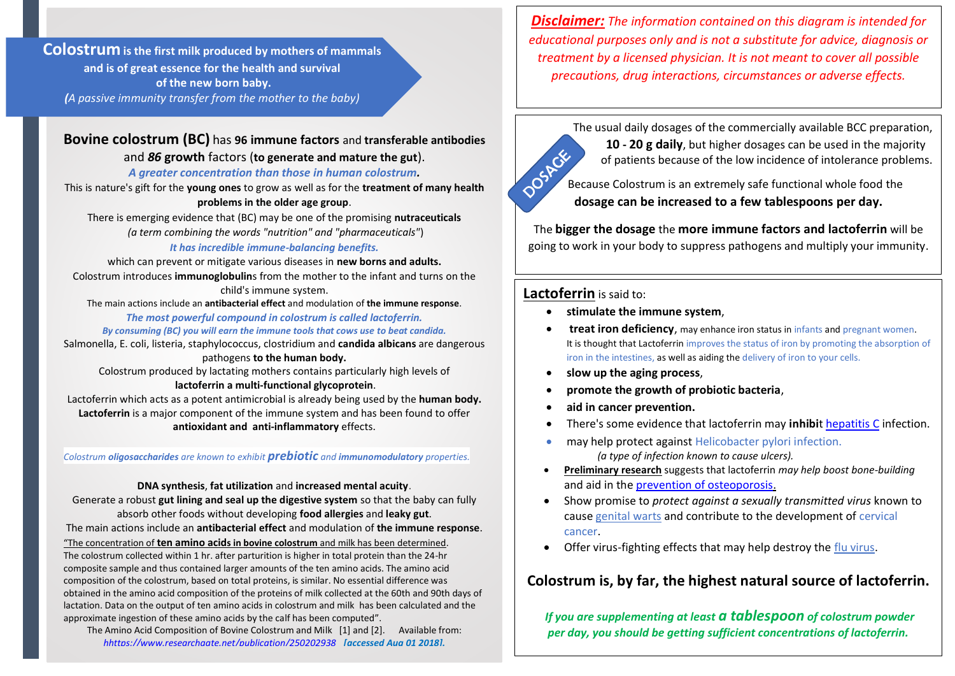**Colostrumis the first milk produced by mothers of mammals and is of great essence for the health and survival of the new born baby.** *(A passive immunity transfer from the mother to the baby)*

# **Bovine colostrum (BC)** has **96 immune factors** and **transferable antibodies** and *86* **growth** factors (**to generate and mature the gut**).

### *A greater concentration than those in human colostrum.*

This is nature's gift for the **young ones** to grow as well as for the **treatment of many health problems in the older age group**.

There is emerging evidence that (BC) may be one of the promising **nutraceuticals** *(a term combining the words "nutrition" and "pharmaceuticals"*)

### *It has incredible immune-balancing benefits.*

which can prevent or mitigate various diseases in **new borns and adults.** Colostrum introduces **immunoglobulin**s from the mother to the infant and turns on the child's immune system.

The main actions include an **antibacterial effect** and modulation of **the immune response**.

*The most powerful compound in colostrum is called lactoferrin. By consuming (BC) you will earn the immune tools that cows use to beat candida.*

Salmonella, E. coli, listeria, staphylococcus, clostridium and **candida albicans** are dangerous pathogens **to the human body.** 

[Colostrum](https://www.verywell.com/colostrum-supplements-what-you-need-to-know-89040) produced by lactating mothers contains particularly high levels of **lactoferrin a multi-functional glycoprotein**.

Lactoferrin which acts as a potent antimicrobial is already being used by the **human body. Lactoferrin** is a major component of the immune system and has been found to offer **antioxidant and [anti-inflammatory](https://www.verywell.com/natural-inflammation-remedies-89284)** effects.

*Colostrum oligosaccharides are known to exhibit prebiotic and immunomodulatory properties.*

**DNA synthesis**, **fat utilization** and **increased mental acuity**. Generate a robust **gut lining and seal up the digestive system** so that the baby can fully absorb other foods without developing **food allergies** and **leaky gut**. The main actions include an **antibacterial effect** and modulation of **the immune response**. "The concentration of **ten amino acids in bovine colostrum** and milk has been determined. The colostrum collected within 1 hr. after parturition is higher in total protein than the 24-hr composite sample and thus contained larger amounts of the ten amino acids. The amino acid composition of the colostrum, based on total proteins, is similar. No essential difference was obtained in the amino acid composition of the proteins of milk collected at the 60th and 90th days of lactation. Data on the output of ten amino acids in colostrum and milk has been calculated and the approximate ingestion of these amino acids by the calf has been computed".

The Amino Acid Composition of Bovine Colostrum and Milk [1] and [2]. Available from: *[hhttps://www.researchgate.net/publication/250202938\\_](h%20%20%20%20%20%20%20%20%20%20%20%20https:/www.researchgate.net/publication/250202938_The_Amino_Acid_Composition_of_) [accessed Aug 01 2018].*

*Disclaimer: The information contained on this diagram is intended for educational purposes only and is not a substitute for advice, diagnosis or treatment by a licensed physician. It is not meant to cover all possible precautions, drug interactions, circumstances or adverse effects.*



The usual daily dosages of the commercially available BCC preparation, **10 - 20 g daily**, but higher dosages can be used in the majority of patients because of the low incidence of intolerance problems.

Because Colostrum is an extremely safe functional whole food the **dosage can be increased to a few tablespoons per day.**

The **bigger the dosage** the **more immune factors and lactoferrin** will be going to work in your body to suppress pathogens and multiply your immunity.

## **Lactoferrin** is said to:

- **stimulate the immune system**,
- **treat iron deficiency**, may enhance iron status in infants and pregnant women. It is thought that Lactoferrin improves the status of iron by promoting the absorption of iron in the intestines, as well as aiding the delivery of iron to your cells.
- **slow up the aging process**,
- **promote the growth of probiotic bacteria**,
- **aid in cancer prevention.**
- There's some evidence that lactoferrin may **inhibi**[t hepatitis C](https://www.verywell.com/alternative-medicine-and-hepatitis-c-89282) infection.
- may help protect against Helicobacter pylori infection.  *(a type of infection known to cause ulcers).*
- **Preliminary research** suggests that lactoferrin *may help boost bone-building* and aid in the [prevention of osteoporosis.](https://www.verywell.com/osteoporosis-prevention-88419)
- Show promise to *protect against a sexually transmitted virus* known to cause genital warts and contribute to the development of cervical cancer.
- Offer virus-fighting effects that may help destroy the flu virus.

# **Colostrum is, by far, the highest natural source of lactoferrin.**

*If you are supplementing at least a tablespoon of colostrum powder per day, you should be getting sufficient concentrations of lactoferrin.*